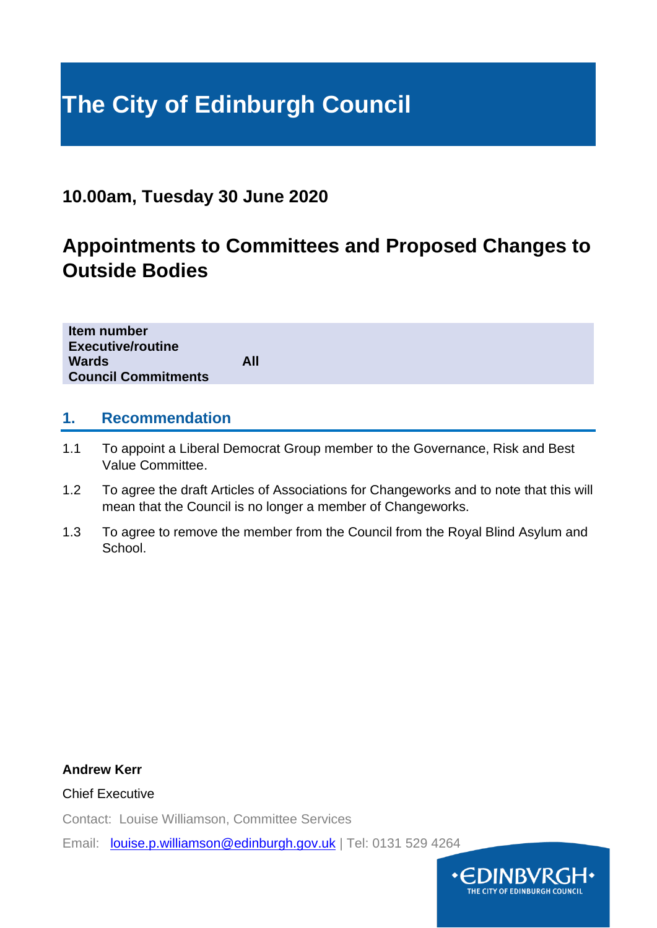# **The City of Edinburgh Council**

# **10.00am, Tuesday 30 June 2020**

# **Appointments to Committees and Proposed Changes to Outside Bodies**

| <b>Council Commitments</b> |
|----------------------------|
|----------------------------|

## **1. Recommendation**

- 1.1 To appoint a Liberal Democrat Group member to the Governance, Risk and Best Value Committee.
- 1.2 To agree the draft Articles of Associations for Changeworks and to note that this will mean that the Council is no longer a member of Changeworks.
- 1.3 To agree to remove the member from the Council from the Royal Blind Asylum and School.

### **Andrew Kerr**

Chief Executive

Contact: Louise Williamson, Committee Services

Email: [louise.p.williamson@edinburgh.gov.uk](mailto:louise.p.williamson@edinburgh.gov.uk) | Tel: 0131 529 4264

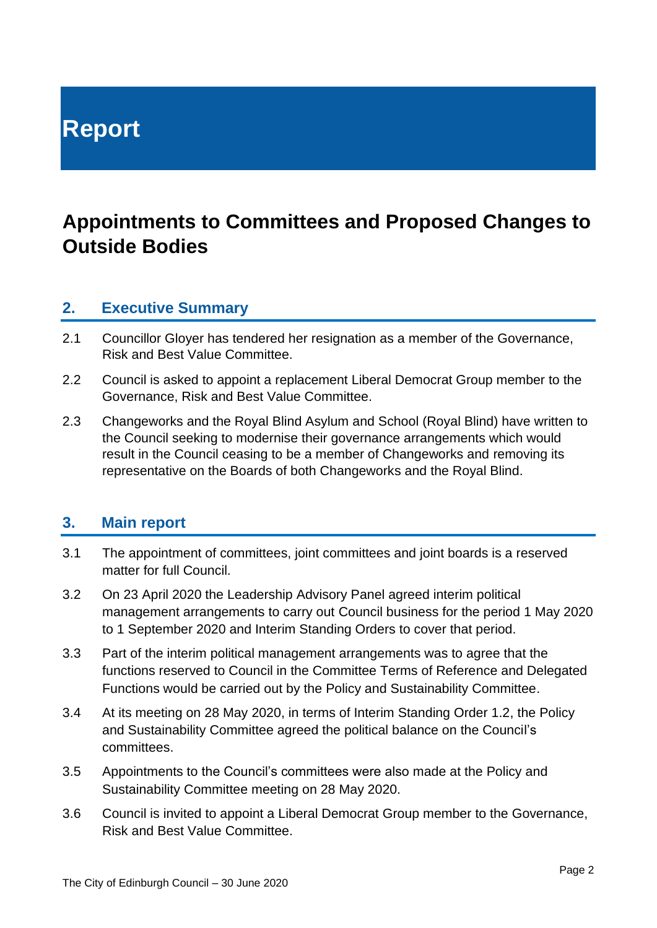# **Report**

# **Appointments to Committees and Proposed Changes to Outside Bodies**

## **2. Executive Summary**

- 2.1 Councillor Gloyer has tendered her resignation as a member of the Governance, Risk and Best Value Committee.
- 2.2 Council is asked to appoint a replacement Liberal Democrat Group member to the Governance, Risk and Best Value Committee.
- 2.3 Changeworks and the Royal Blind Asylum and School (Royal Blind) have written to the Council seeking to modernise their governance arrangements which would result in the Council ceasing to be a member of Changeworks and removing its representative on the Boards of both Changeworks and the Royal Blind.

## **3. Main report**

- 3.1 The appointment of committees, joint committees and joint boards is a reserved matter for full Council.
- 3.2 On 23 April 2020 the Leadership Advisory Panel agreed interim political management arrangements to carry out Council business for the period 1 May 2020 to 1 September 2020 and Interim Standing Orders to cover that period.
- 3.3 Part of the interim political management arrangements was to agree that the functions reserved to Council in the Committee Terms of Reference and Delegated Functions would be carried out by the Policy and Sustainability Committee.
- 3.4 At its meeting on 28 May 2020, in terms of Interim Standing Order 1.2, the Policy and Sustainability Committee agreed the political balance on the Council's committees.
- 3.5 Appointments to the Council's committees were also made at the Policy and Sustainability Committee meeting on 28 May 2020.
- 3.6 Council is invited to appoint a Liberal Democrat Group member to the Governance, Risk and Best Value Committee.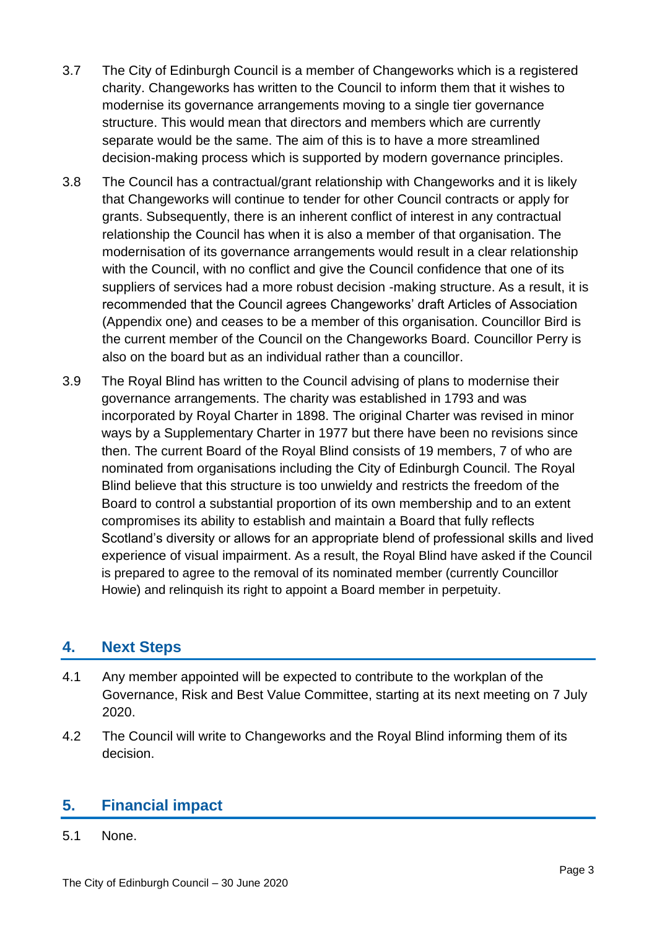- 3.7 The City of Edinburgh Council is a member of Changeworks which is a registered charity. Changeworks has written to the Council to inform them that it wishes to modernise its governance arrangements moving to a single tier governance structure. This would mean that directors and members which are currently separate would be the same. The aim of this is to have a more streamlined decision-making process which is supported by modern governance principles.
- 3.8 The Council has a contractual/grant relationship with Changeworks and it is likely that Changeworks will continue to tender for other Council contracts or apply for grants. Subsequently, there is an inherent conflict of interest in any contractual relationship the Council has when it is also a member of that organisation. The modernisation of its governance arrangements would result in a clear relationship with the Council, with no conflict and give the Council confidence that one of its suppliers of services had a more robust decision -making structure. As a result, it is recommended that the Council agrees Changeworks' draft Articles of Association (Appendix one) and ceases to be a member of this organisation. Councillor Bird is the current member of the Council on the Changeworks Board. Councillor Perry is also on the board but as an individual rather than a councillor.
- 3.9 The Royal Blind has written to the Council advising of plans to modernise their governance arrangements. The charity was established in 1793 and was incorporated by Royal Charter in 1898. The original Charter was revised in minor ways by a Supplementary Charter in 1977 but there have been no revisions since then. The current Board of the Royal Blind consists of 19 members, 7 of who are nominated from organisations including the City of Edinburgh Council. The Royal Blind believe that this structure is too unwieldy and restricts the freedom of the Board to control a substantial proportion of its own membership and to an extent compromises its ability to establish and maintain a Board that fully reflects Scotland's diversity or allows for an appropriate blend of professional skills and lived experience of visual impairment. As a result, the Royal Blind have asked if the Council is prepared to agree to the removal of its nominated member (currently Councillor Howie) and relinquish its right to appoint a Board member in perpetuity.

# **4. Next Steps**

- 4.1 Any member appointed will be expected to contribute to the workplan of the Governance, Risk and Best Value Committee, starting at its next meeting on 7 July 2020.
- 4.2 The Council will write to Changeworks and the Royal Blind informing them of its decision.

# **5. Financial impact**

5.1 None.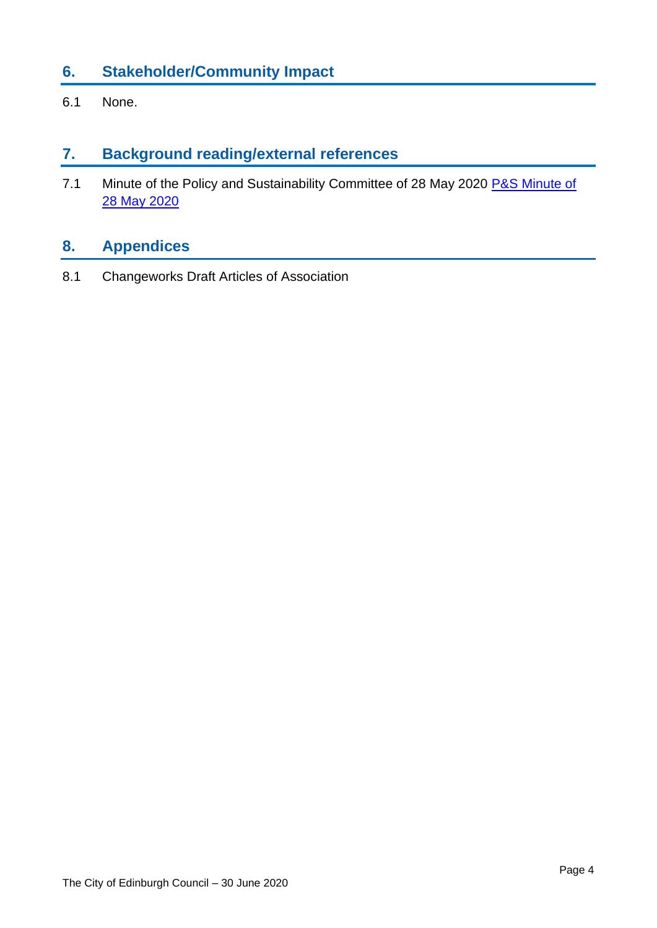# **6. Stakeholder/Community Impact**

6.1 None.

## **7. Background reading/external references**

7.1 Minute of the Policy and Sustainability Committee of 28 May 2020 P&S Minute of [28 May 2020](https://democracy.edinburgh.gov.uk/documents/s24282/4.1%20-%20Minute%20of%2028%20May%202020.pdf)

# **8. Appendices**

8.1 Changeworks Draft Articles of Association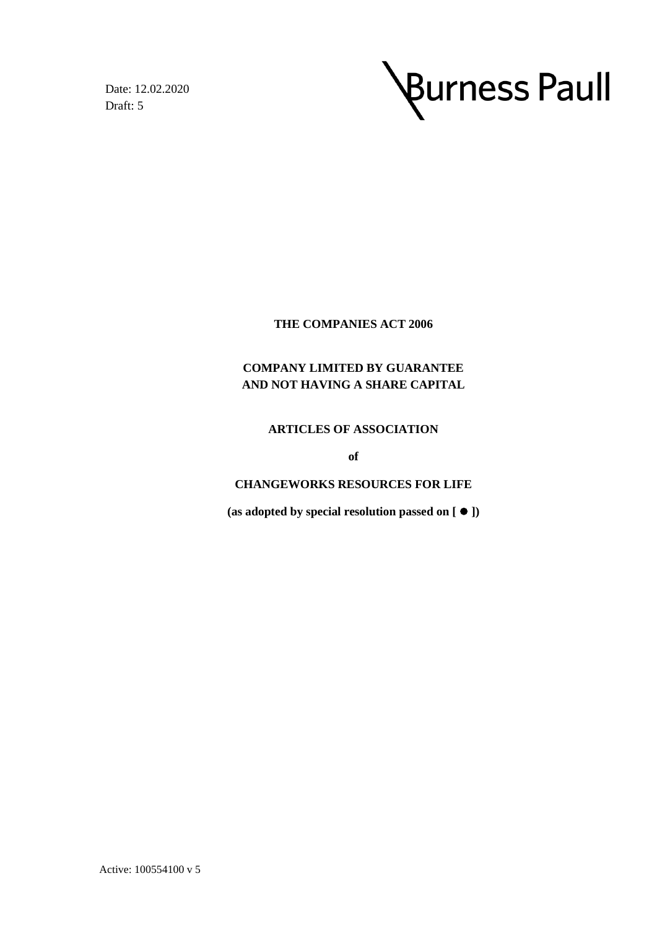Date: 12.02.2020 Draft: 5



#### **THE COMPANIES ACT 2006**

## **COMPANY LIMITED BY GUARANTEE AND NOT HAVING A SHARE CAPITAL**

#### **ARTICLES OF ASSOCIATION**

**of**

#### **CHANGEWORKS RESOURCES FOR LIFE**

**(as adopted by special resolution passed on [** ⚫ **])**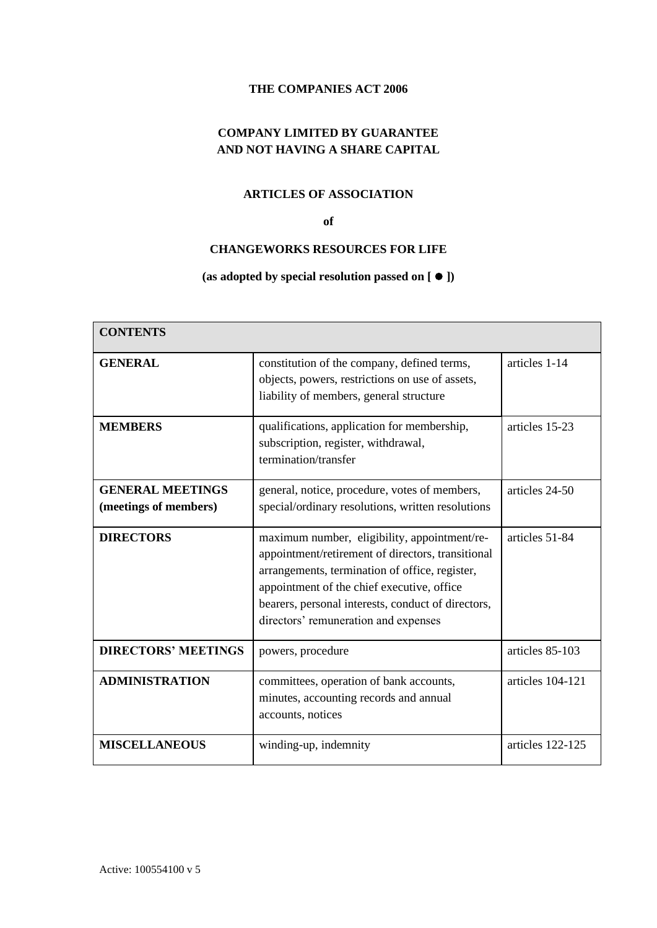#### **THE COMPANIES ACT 2006**

### **COMPANY LIMITED BY GUARANTEE AND NOT HAVING A SHARE CAPITAL**

#### **ARTICLES OF ASSOCIATION**

#### **of**

#### **CHANGEWORKS RESOURCES FOR LIFE**

#### **(as adopted by special resolution passed on [** ⚫ **])**

| <b>CONTENTS</b>                                  |                                                                                                                                                                                                                                                                                                 |                  |  |
|--------------------------------------------------|-------------------------------------------------------------------------------------------------------------------------------------------------------------------------------------------------------------------------------------------------------------------------------------------------|------------------|--|
| <b>GENERAL</b>                                   | constitution of the company, defined terms,<br>objects, powers, restrictions on use of assets,<br>liability of members, general structure                                                                                                                                                       | articles 1-14    |  |
| <b>MEMBERS</b>                                   | qualifications, application for membership,<br>subscription, register, withdrawal,<br>termination/transfer                                                                                                                                                                                      | articles 15-23   |  |
| <b>GENERAL MEETINGS</b><br>(meetings of members) | general, notice, procedure, votes of members,<br>special/ordinary resolutions, written resolutions                                                                                                                                                                                              | articles 24-50   |  |
| <b>DIRECTORS</b>                                 | maximum number, eligibility, appointment/re-<br>appointment/retirement of directors, transitional<br>arrangements, termination of office, register,<br>appointment of the chief executive, office<br>bearers, personal interests, conduct of directors,<br>directors' remuneration and expenses | articles 51-84   |  |
| <b>DIRECTORS' MEETINGS</b>                       | powers, procedure                                                                                                                                                                                                                                                                               | articles 85-103  |  |
| <b>ADMINISTRATION</b>                            | committees, operation of bank accounts,<br>minutes, accounting records and annual<br>accounts, notices                                                                                                                                                                                          | articles 104-121 |  |
| <b>MISCELLANEOUS</b>                             | winding-up, indemnity                                                                                                                                                                                                                                                                           | articles 122-125 |  |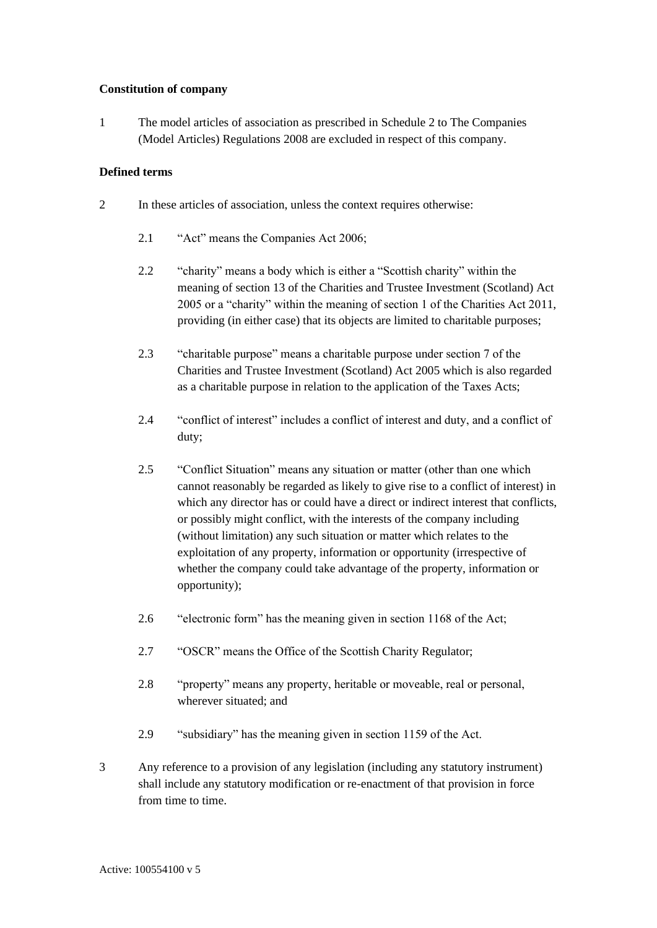#### **Constitution of company**

<span id="page-6-0"></span>1 The model articles of association as prescribed in Schedule 2 to The Companies (Model Articles) Regulations 2008 are excluded in respect of this company.

#### **Defined terms**

- 2 In these articles of association, unless the context requires otherwise:
	- 2.1 "Act" means the Companies Act 2006;
	- 2.2 "charity" means a body which is either a "Scottish charity" within the meaning of section 13 of the Charities and Trustee Investment (Scotland) Act 2005 or a "charity" within the meaning of section 1 of the Charities Act 2011, providing (in either case) that its objects are limited to charitable purposes;
	- 2.3 "charitable purpose" means a charitable purpose under section 7 of the Charities and Trustee Investment (Scotland) Act 2005 which is also regarded as a charitable purpose in relation to the application of the Taxes Acts;
	- 2.4 "conflict of interest" includes a conflict of interest and duty, and a conflict of duty;
	- 2.5 "Conflict Situation" means any situation or matter (other than one which cannot reasonably be regarded as likely to give rise to a conflict of interest) in which any director has or could have a direct or indirect interest that conflicts, or possibly might conflict, with the interests of the company including (without limitation) any such situation or matter which relates to the exploitation of any property, information or opportunity (irrespective of whether the company could take advantage of the property, information or opportunity);
	- 2.6 "electronic form" has the meaning given in section 1168 of the Act;
	- 2.7 "OSCR" means the Office of the Scottish Charity Regulator;
	- 2.8 "property" means any property, heritable or moveable, real or personal, wherever situated; and
	- 2.9 "subsidiary" has the meaning given in section 1159 of the Act.
- 3 Any reference to a provision of any legislation (including any statutory instrument) shall include any statutory modification or re-enactment of that provision in force from time to time.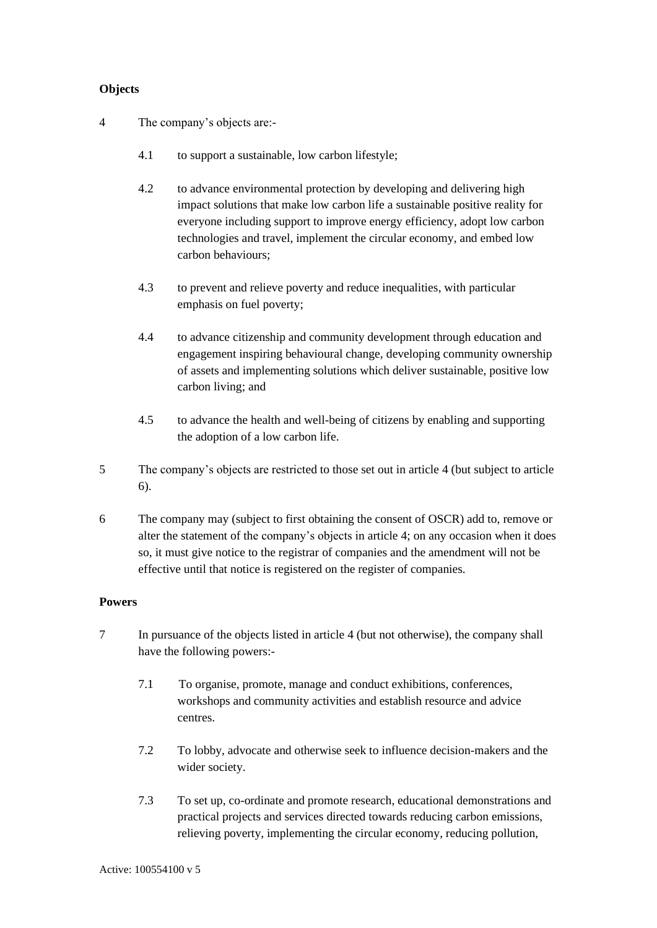#### **Objects**

- <span id="page-7-0"></span>4 The company's objects are:-
	- 4.1 to support a sustainable, low carbon lifestyle;
	- 4.2 to advance environmental protection by developing and delivering high impact solutions that make low carbon life a sustainable positive reality for everyone including support to improve energy efficiency, adopt low carbon technologies and travel, implement the circular economy, and embed low carbon behaviours;
	- 4.3 to prevent and relieve poverty and reduce inequalities, with particular emphasis on fuel poverty;
	- 4.4 to advance citizenship and community development through education and engagement inspiring behavioural change, developing community ownership of assets and implementing solutions which deliver sustainable, positive low carbon living; and
	- 4.5 to advance the health and well-being of citizens by enabling and supporting the adoption of a low carbon life.
- 5 The company's objects are restricted to those set out in articl[e 4](#page-7-0) (but subject to article [6\)](#page-7-1).
- <span id="page-7-1"></span>6 The company may (subject to first obtaining the consent of OSCR) add to, remove or alter the statement of the company's objects in article [4;](#page-7-0) on any occasion when it does so, it must give notice to the registrar of companies and the amendment will not be effective until that notice is registered on the register of companies.

#### **Powers**

- <span id="page-7-2"></span>7 In pursuance of the objects listed in article [4](#page-7-0) (but not otherwise), the company shall have the following powers:-
	- 7.1 To organise, promote, manage and conduct exhibitions, conferences, workshops and community activities and establish resource and advice centres.
	- 7.2 To lobby, advocate and otherwise seek to influence decision-makers and the wider society.
	- 7.3 To set up, co-ordinate and promote research, educational demonstrations and practical projects and services directed towards reducing carbon emissions, relieving poverty, implementing the circular economy, reducing pollution,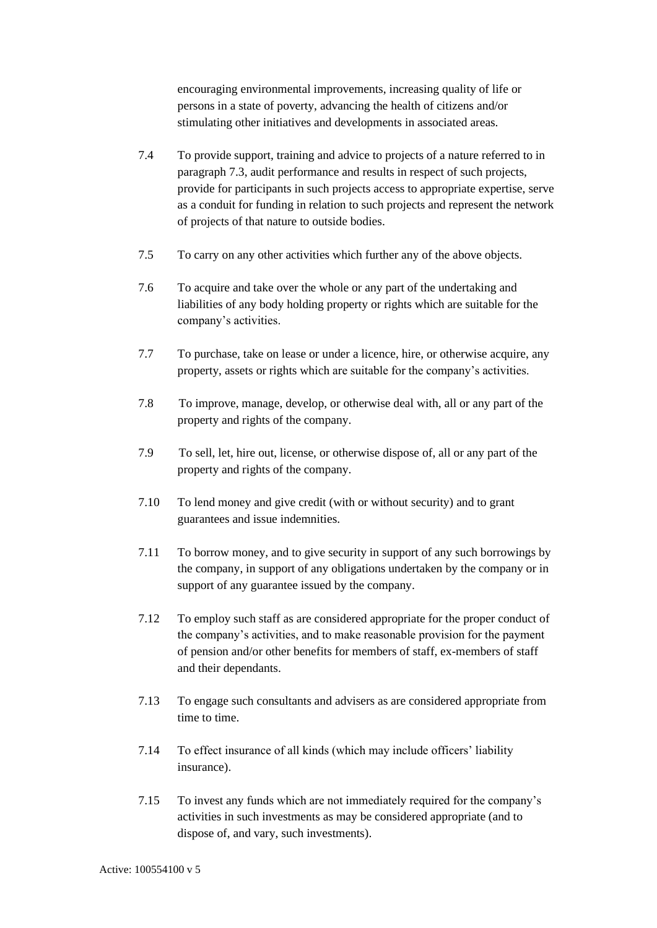encouraging environmental improvements, increasing quality of life or persons in a state of poverty, advancing the health of citizens and/or stimulating other initiatives and developments in associated areas.

- 7.4 To provide support, training and advice to projects of a nature referred to in paragraph [7.3,](#page-7-2) audit performance and results in respect of such projects, provide for participants in such projects access to appropriate expertise, serve as a conduit for funding in relation to such projects and represent the network of projects of that nature to outside bodies.
- 7.5 To carry on any other activities which further any of the above objects.
- 7.6 To acquire and take over the whole or any part of the undertaking and liabilities of any body holding property or rights which are suitable for the company's activities.
- 7.7 To purchase, take on lease or under a licence, hire, or otherwise acquire, any property, assets or rights which are suitable for the company's activities.
- 7.8 To improve, manage, develop, or otherwise deal with, all or any part of the property and rights of the company.
- 7.9 To sell, let, hire out, license, or otherwise dispose of, all or any part of the property and rights of the company.
- 7.10 To lend money and give credit (with or without security) and to grant guarantees and issue indemnities.
- 7.11 To borrow money, and to give security in support of any such borrowings by the company, in support of any obligations undertaken by the company or in support of any guarantee issued by the company.
- 7.12 To employ such staff as are considered appropriate for the proper conduct of the company's activities, and to make reasonable provision for the payment of pension and/or other benefits for members of staff, ex-members of staff and their dependants.
- 7.13 To engage such consultants and advisers as are considered appropriate from time to time.
- 7.14 To effect insurance of all kinds (which may include officers' liability insurance).
- 7.15 To invest any funds which are not immediately required for the company's activities in such investments as may be considered appropriate (and to dispose of, and vary, such investments).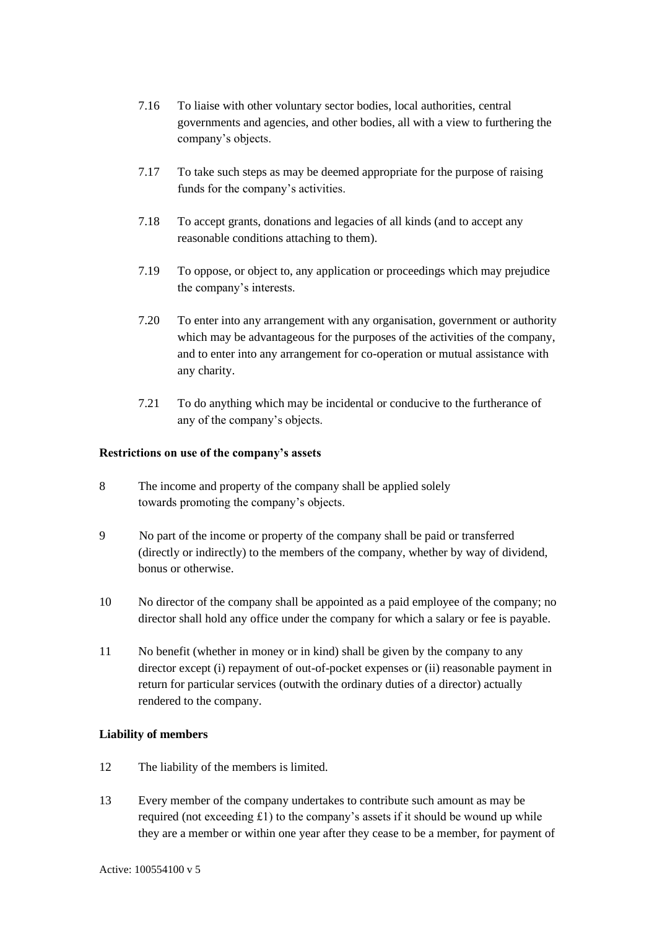- 7.16 To liaise with other voluntary sector bodies, local authorities, central governments and agencies, and other bodies, all with a view to furthering the company's objects.
- 7.17 To take such steps as may be deemed appropriate for the purpose of raising funds for the company's activities.
- 7.18 To accept grants, donations and legacies of all kinds (and to accept any reasonable conditions attaching to them).
- 7.19 To oppose, or object to, any application or proceedings which may prejudice the company's interests.
- 7.20 To enter into any arrangement with any organisation, government or authority which may be advantageous for the purposes of the activities of the company, and to enter into any arrangement for co-operation or mutual assistance with any charity.
- 7.21 To do anything which may be incidental or conducive to the furtherance of any of the company's objects.

#### **Restrictions on use of the company's assets**

- <span id="page-9-0"></span>8 The income and property of the company shall be applied solely towards promoting the company's objects.
- 9 No part of the income or property of the company shall be paid or transferred (directly or indirectly) to the members of the company, whether by way of dividend, bonus or otherwise.
- 10 No director of the company shall be appointed as a paid employee of the company; no director shall hold any office under the company for which a salary or fee is payable.
- <span id="page-9-1"></span>11 No benefit (whether in money or in kind) shall be given by the company to any director except (i) repayment of out-of-pocket expenses or (ii) reasonable payment in return for particular services (outwith the ordinary duties of a director) actually rendered to the company.

#### **Liability of members**

- 12 The liability of the members is limited.
- 13 Every member of the company undertakes to contribute such amount as may be required (not exceeding £1) to the company's assets if it should be wound up while they are a member or within one year after they cease to be a member, for payment of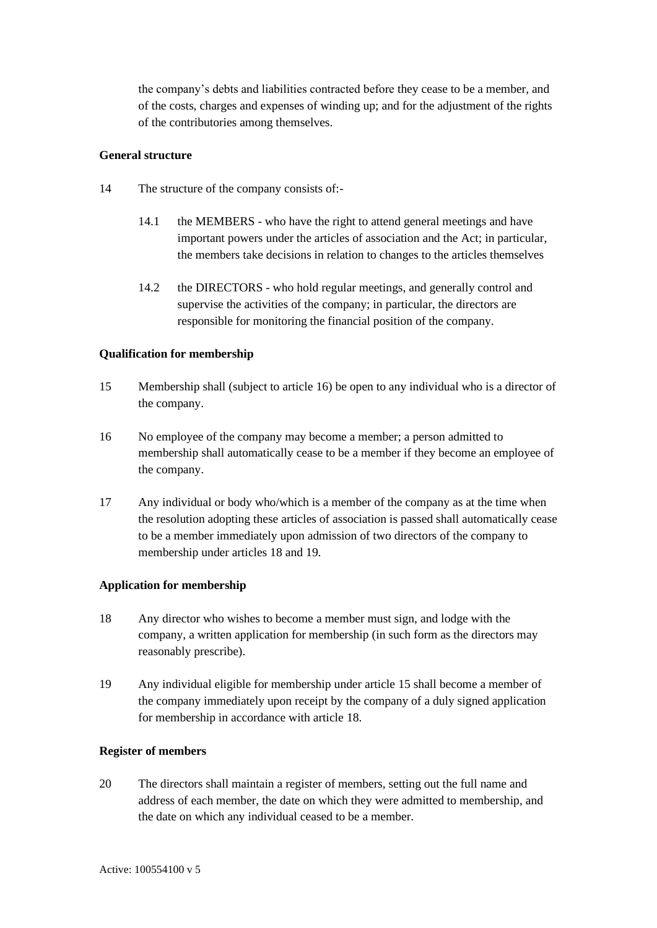the company's debts and liabilities contracted before they cease to be a member, and of the costs, charges and expenses of winding up; and for the adjustment of the rights of the contributories among themselves.

#### **General structure**

- <span id="page-10-0"></span>14 The structure of the company consists of:-
	- 14.1 the MEMBERS who have the right to attend general meetings and have important powers under the articles of association and the Act; in particular, the members take decisions in relation to changes to the articles themselves
	- 14.2 the DIRECTORS who hold regular meetings, and generally control and supervise the activities of the company; in particular, the directors are responsible for monitoring the financial position of the company.

#### **Qualification for membership**

- <span id="page-10-1"></span>15 Membership shall (subject to article [16\)](#page-10-2) be open to any individual who is a director of the company.
- <span id="page-10-2"></span>16 No employee of the company may become a member; a person admitted to membership shall automatically cease to be a member if they become an employee of the company.
- 17 Any individual or body who/which is a member of the company as at the time when the resolution adopting these articles of association is passed shall automatically cease to be a member immediately upon admission of two directors of the company to membership under articles [18](#page-10-3) and [19.](#page-10-4)

#### **Application for membership**

- <span id="page-10-3"></span>18 Any director who wishes to become a member must sign, and lodge with the company, a written application for membership (in such form as the directors may reasonably prescribe).
- <span id="page-10-4"></span>19 Any individual eligible for membership under article [15](#page-10-1) shall become a member of the company immediately upon receipt by the company of a duly signed application for membership in accordance with article [18.](#page-10-3)

#### **Register of members**

20 The directors shall maintain a register of members, setting out the full name and address of each member, the date on which they were admitted to membership, and the date on which any individual ceased to be a member.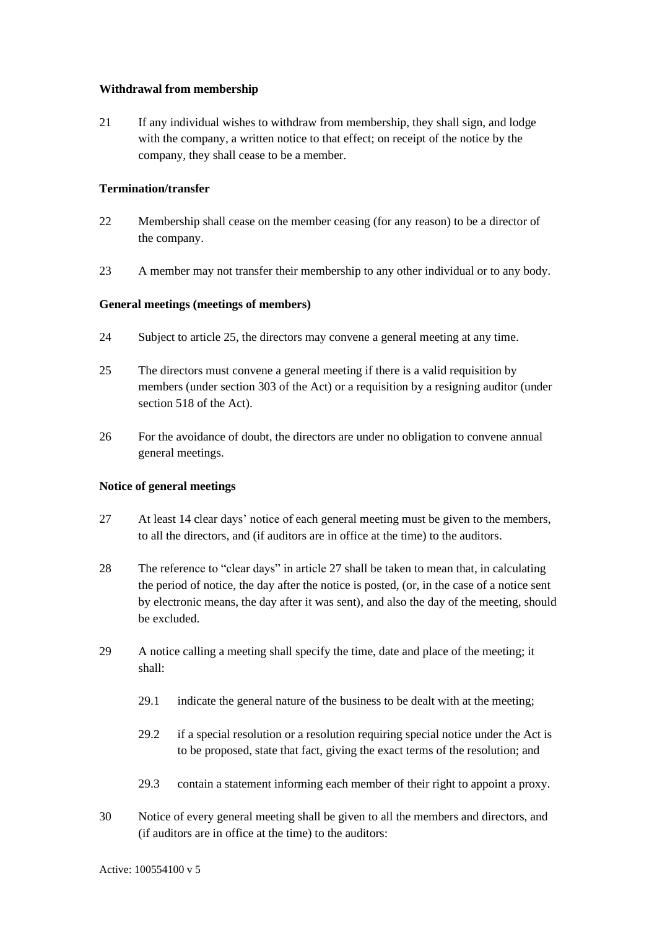#### **Withdrawal from membership**

21 If any individual wishes to withdraw from membership, they shall sign, and lodge with the company, a written notice to that effect; on receipt of the notice by the company, they shall cease to be a member.

#### **Termination/transfer**

- 22 Membership shall cease on the member ceasing (for any reason) to be a director of the company.
- <span id="page-11-0"></span>23 A member may not transfer their membership to any other individual or to any body.

#### **General meetings (meetings of members)**

- <span id="page-11-1"></span>24 Subject to article [25,](#page-11-2) the directors may convene a general meeting at any time.
- <span id="page-11-2"></span>25 The directors must convene a general meeting if there is a valid requisition by members (under section 303 of the Act) or a requisition by a resigning auditor (under section 518 of the Act).
- 26 For the avoidance of doubt, the directors are under no obligation to convene annual general meetings.

#### **Notice of general meetings**

- <span id="page-11-3"></span>27 At least 14 clear days' notice of each general meeting must be given to the members, to all the directors, and (if auditors are in office at the time) to the auditors.
- 28 The reference to "clear days" in article [27](#page-11-3) shall be taken to mean that, in calculating the period of notice, the day after the notice is posted, (or, in the case of a notice sent by electronic means, the day after it was sent), and also the day of the meeting, should be excluded.
- 29 A notice calling a meeting shall specify the time, date and place of the meeting; it shall:
	- 29.1 indicate the general nature of the business to be dealt with at the meeting;
	- 29.2 if a special resolution or a resolution requiring special notice under the Act is to be proposed, state that fact, giving the exact terms of the resolution; and
	- 29.3 contain a statement informing each member of their right to appoint a proxy.
- <span id="page-11-4"></span>30 Notice of every general meeting shall be given to all the members and directors, and (if auditors are in office at the time) to the auditors: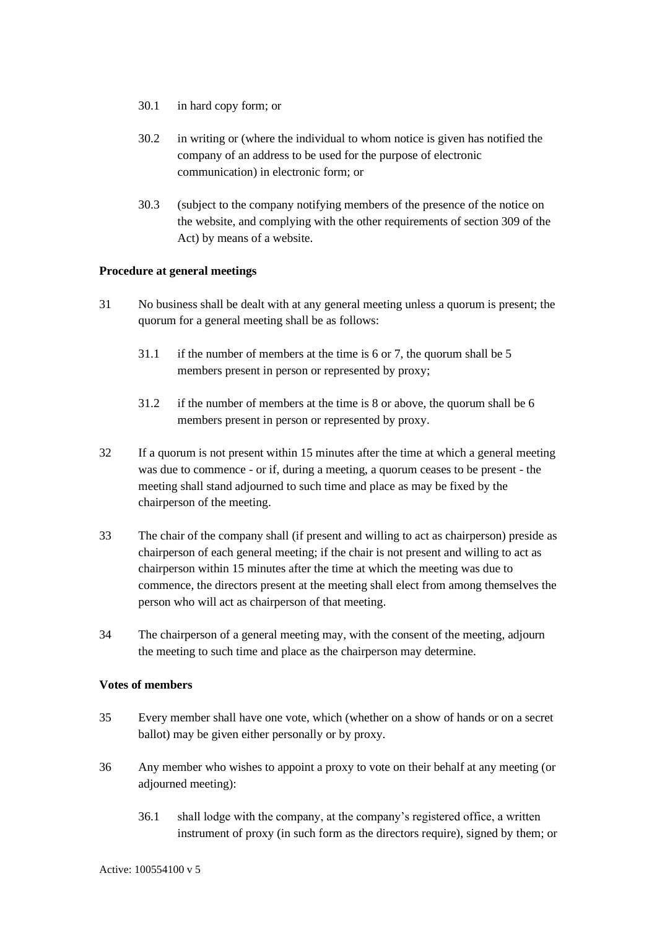- 30.1 in hard copy form; or
- 30.2 in writing or (where the individual to whom notice is given has notified the company of an address to be used for the purpose of electronic communication) in electronic form; or
- 30.3 (subject to the company notifying members of the presence of the notice on the website, and complying with the other requirements of section 309 of the Act) by means of a website.

#### **Procedure at general meetings**

- 31 No business shall be dealt with at any general meeting unless a quorum is present; the quorum for a general meeting shall be as follows:
	- 31.1 if the number of members at the time is 6 or 7, the quorum shall be 5 members present in person or represented by proxy;
	- 31.2 if the number of members at the time is 8 or above, the quorum shall be 6 members present in person or represented by proxy.
- 32 If a quorum is not present within 15 minutes after the time at which a general meeting was due to commence - or if, during a meeting, a quorum ceases to be present - the meeting shall stand adjourned to such time and place as may be fixed by the chairperson of the meeting.
- 33 The chair of the company shall (if present and willing to act as chairperson) preside as chairperson of each general meeting; if the chair is not present and willing to act as chairperson within 15 minutes after the time at which the meeting was due to commence, the directors present at the meeting shall elect from among themselves the person who will act as chairperson of that meeting.
- 34 The chairperson of a general meeting may, with the consent of the meeting, adjourn the meeting to such time and place as the chairperson may determine.

#### **Votes of members**

- 35 Every member shall have one vote, which (whether on a show of hands or on a secret ballot) may be given either personally or by proxy.
- <span id="page-12-0"></span>36 Any member who wishes to appoint a proxy to vote on their behalf at any meeting (or adjourned meeting):
	- 36.1 shall lodge with the company, at the company's registered office, a written instrument of proxy (in such form as the directors require), signed by them; or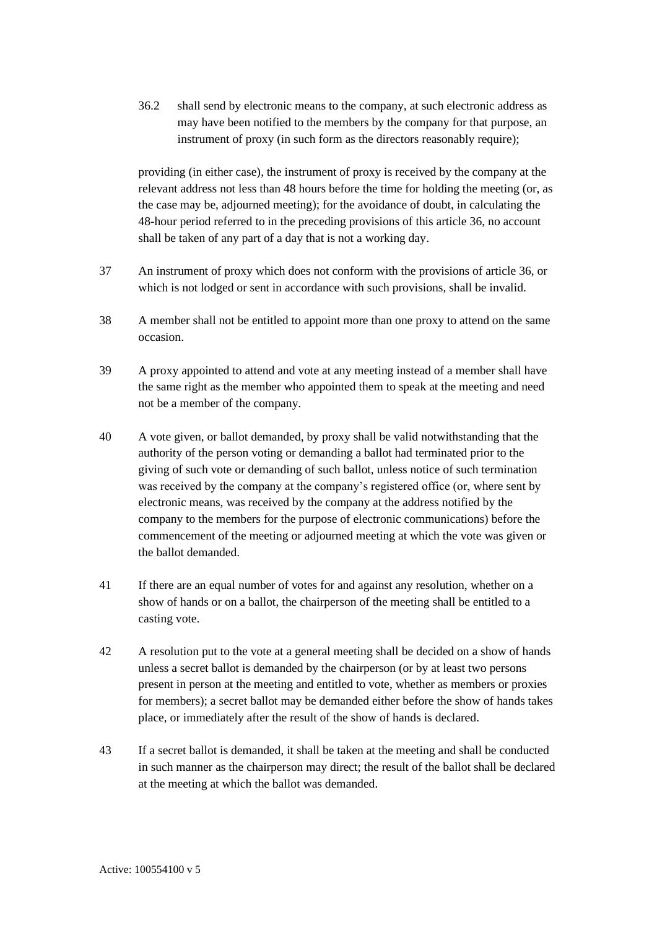36.2 shall send by electronic means to the company, at such electronic address as may have been notified to the members by the company for that purpose, an instrument of proxy (in such form as the directors reasonably require);

providing (in either case), the instrument of proxy is received by the company at the relevant address not less than 48 hours before the time for holding the meeting (or, as the case may be, adjourned meeting); for the avoidance of doubt, in calculating the 48-hour period referred to in the preceding provisions of this article [36,](#page-12-0) no account shall be taken of any part of a day that is not a working day.

- 37 An instrument of proxy which does not conform with the provisions of article [36,](#page-12-0) or which is not lodged or sent in accordance with such provisions, shall be invalid.
- 38 A member shall not be entitled to appoint more than one proxy to attend on the same occasion.
- 39 A proxy appointed to attend and vote at any meeting instead of a member shall have the same right as the member who appointed them to speak at the meeting and need not be a member of the company.
- 40 A vote given, or ballot demanded, by proxy shall be valid notwithstanding that the authority of the person voting or demanding a ballot had terminated prior to the giving of such vote or demanding of such ballot, unless notice of such termination was received by the company at the company's registered office (or, where sent by electronic means, was received by the company at the address notified by the company to the members for the purpose of electronic communications) before the commencement of the meeting or adjourned meeting at which the vote was given or the ballot demanded.
- 41 If there are an equal number of votes for and against any resolution, whether on a show of hands or on a ballot, the chairperson of the meeting shall be entitled to a casting vote.
- 42 A resolution put to the vote at a general meeting shall be decided on a show of hands unless a secret ballot is demanded by the chairperson (or by at least two persons present in person at the meeting and entitled to vote, whether as members or proxies for members); a secret ballot may be demanded either before the show of hands takes place, or immediately after the result of the show of hands is declared.
- 43 If a secret ballot is demanded, it shall be taken at the meeting and shall be conducted in such manner as the chairperson may direct; the result of the ballot shall be declared at the meeting at which the ballot was demanded.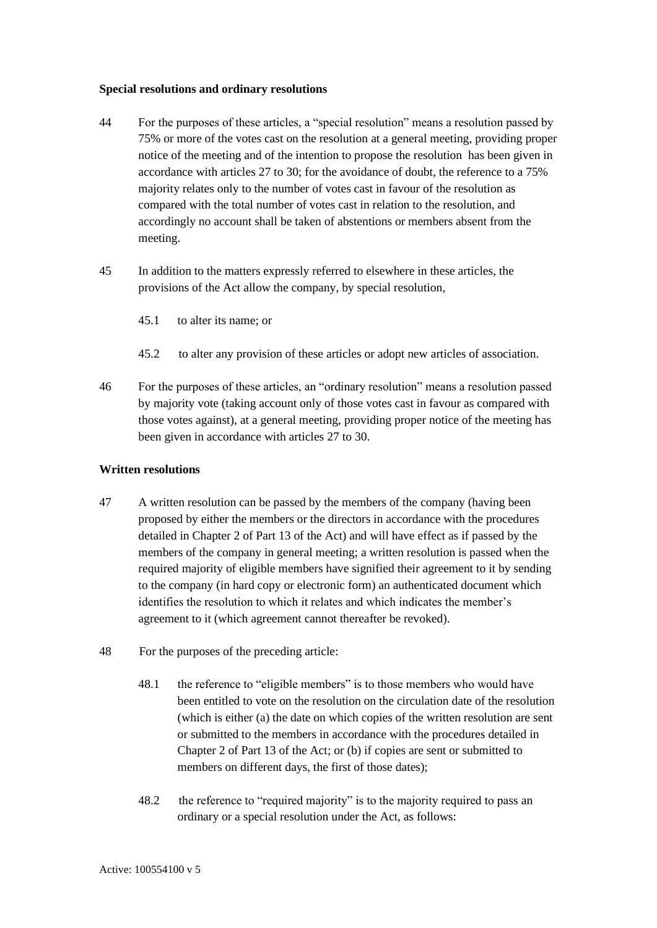#### **Special resolutions and ordinary resolutions**

- 44 For the purposes of these articles, a "special resolution" means a resolution passed by 75% or more of the votes cast on the resolution at a general meeting, providing proper notice of the meeting and of the intention to propose the resolution has been given in accordance with articles [27](#page-11-3) to [30;](#page-11-4) for the avoidance of doubt, the reference to a 75% majority relates only to the number of votes cast in favour of the resolution as compared with the total number of votes cast in relation to the resolution, and accordingly no account shall be taken of abstentions or members absent from the meeting.
- 45 In addition to the matters expressly referred to elsewhere in these articles, the provisions of the Act allow the company, by special resolution,
	- 45.1 to alter its name; or
	- 45.2 to alter any provision of these articles or adopt new articles of association.
- 46 For the purposes of these articles, an "ordinary resolution" means a resolution passed by majority vote (taking account only of those votes cast in favour as compared with those votes against), at a general meeting, providing proper notice of the meeting has been given in accordance with articles [27](#page-11-3) to [30.](#page-11-4)

#### **Written resolutions**

- <span id="page-14-0"></span>47 A written resolution can be passed by the members of the company (having been proposed by either the members or the directors in accordance with the procedures detailed in Chapter 2 of Part 13 of the Act) and will have effect as if passed by the members of the company in general meeting; a written resolution is passed when the required majority of eligible members have signified their agreement to it by sending to the company (in hard copy or electronic form) an authenticated document which identifies the resolution to which it relates and which indicates the member's agreement to it (which agreement cannot thereafter be revoked).
- <span id="page-14-1"></span>48 For the purposes of the preceding article:
	- 48.1 the reference to "eligible members" is to those members who would have been entitled to vote on the resolution on the circulation date of the resolution (which is either (a) the date on which copies of the written resolution are sent or submitted to the members in accordance with the procedures detailed in Chapter 2 of Part 13 of the Act; or (b) if copies are sent or submitted to members on different days, the first of those dates);
	- 48.2 the reference to "required majority" is to the majority required to pass an ordinary or a special resolution under the Act, as follows: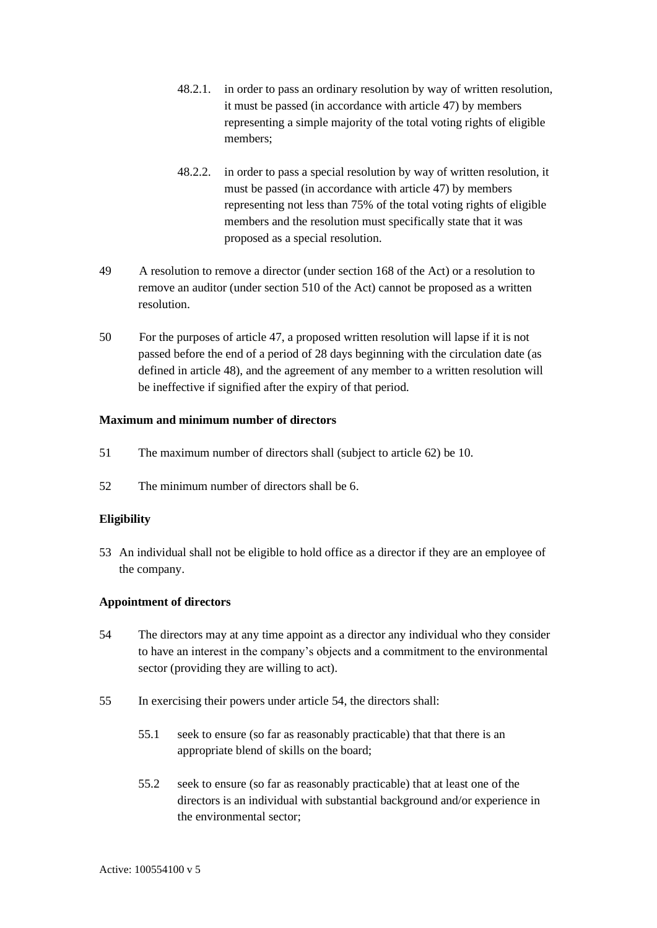- 48.2.1. in order to pass an ordinary resolution by way of written resolution, it must be passed (in accordance with article [47\)](#page-14-0) by members representing a simple majority of the total voting rights of eligible members;
- 48.2.2. in order to pass a special resolution by way of written resolution, it must be passed (in accordance with article [47\)](#page-14-0) by members representing not less than 75% of the total voting rights of eligible members and the resolution must specifically state that it was proposed as a special resolution.
- 49 A resolution to remove a director (under section 168 of the Act) or a resolution to remove an auditor (under section 510 of the Act) cannot be proposed as a written resolution.
- <span id="page-15-0"></span>50 For the purposes of article [47,](#page-14-0) a proposed written resolution will lapse if it is not passed before the end of a period of 28 days beginning with the circulation date (as defined in article [48\)](#page-14-1), and the agreement of any member to a written resolution will be ineffective if signified after the expiry of that period.

#### **Maximum and minimum number of directors**

- <span id="page-15-1"></span>51 The maximum number of directors shall (subject to article [62\)](#page-17-0) be 10.
- 52 The minimum number of directors shall be 6.

#### **Eligibility**

53 An individual shall not be eligible to hold office as a director if they are an employee of the company.

#### **Appointment of directors**

- <span id="page-15-2"></span>54 The directors may at any time appoint as a director any individual who they consider to have an interest in the company's objects and a commitment to the environmental sector (providing they are willing to act).
- <span id="page-15-3"></span>55 In exercising their powers under article [54,](#page-15-2) the directors shall:
	- 55.1 seek to ensure (so far as reasonably practicable) that that there is an appropriate blend of skills on the board;
	- 55.2 seek to ensure (so far as reasonably practicable) that at least one of the directors is an individual with substantial background and/or experience in the environmental sector;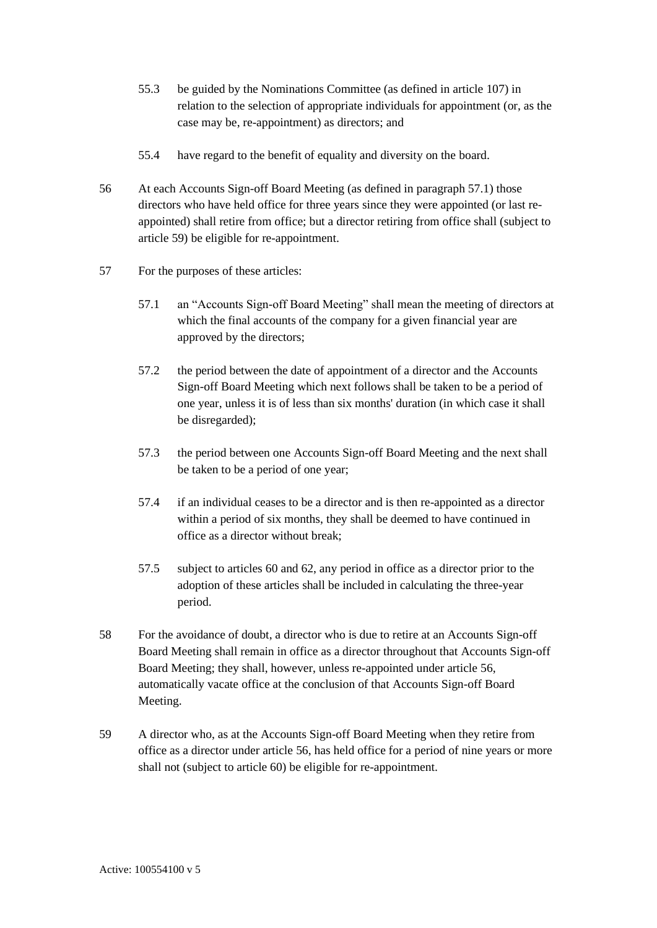- 55.3 be guided by the Nominations Committee (as defined in article [107\)](#page-24-0) in relation to the selection of appropriate individuals for appointment (or, as the case may be, re-appointment) as directors; and
- 55.4 have regard to the benefit of equality and diversity on the board.
- <span id="page-16-2"></span>56 At each Accounts Sign-off Board Meeting (as defined in paragraph [57.1\)](#page-16-0) those directors who have held office for three years since they were appointed (or last reappointed) shall retire from office; but a director retiring from office shall (subject to article [59\)](#page-16-1) be eligible for re-appointment.
- <span id="page-16-0"></span>57 For the purposes of these articles:
	- 57.1 an "Accounts Sign-off Board Meeting" shall mean the meeting of directors at which the final accounts of the company for a given financial year are approved by the directors;
	- 57.2 the period between the date of appointment of a director and the Accounts Sign-off Board Meeting which next follows shall be taken to be a period of one year, unless it is of less than six months' duration (in which case it shall be disregarded);
	- 57.3 the period between one Accounts Sign-off Board Meeting and the next shall be taken to be a period of one year;
	- 57.4 if an individual ceases to be a director and is then re-appointed as a director within a period of six months, they shall be deemed to have continued in office as a director without break;
	- 57.5 subject to articles [60](#page-17-1) and [62,](#page-17-0) any period in office as a director prior to the adoption of these articles shall be included in calculating the three-year period.
- 58 For the avoidance of doubt, a director who is due to retire at an Accounts Sign-off Board Meeting shall remain in office as a director throughout that Accounts Sign-off Board Meeting; they shall, however, unless re-appointed under article [56,](#page-16-2) automatically vacate office at the conclusion of that Accounts Sign-off Board Meeting.
- <span id="page-16-1"></span>59 A director who, as at the Accounts Sign-off Board Meeting when they retire from office as a director under article [56,](#page-16-2) has held office for a period of nine years or more shall not (subject to article [60\)](#page-17-1) be eligible for re-appointment.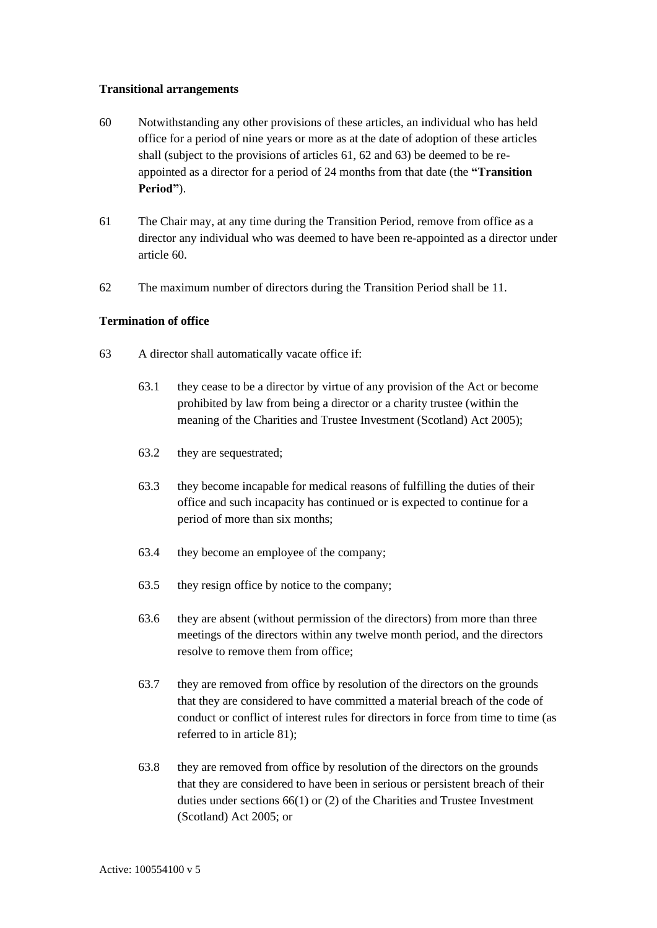#### **Transitional arrangements**

- <span id="page-17-1"></span>60 Notwithstanding any other provisions of these articles, an individual who has held office for a period of nine years or more as at the date of adoption of these articles shall (subject to the provisions of articles [61,](#page-17-2) [62](#page-17-0) and [63\)](#page-17-3) be deemed to be reappointed as a director for a period of 24 months from that date (the **"Transition Period"**).
- <span id="page-17-2"></span>61 The Chair may, at any time during the Transition Period, remove from office as a director any individual who was deemed to have been re-appointed as a director under article [60.](#page-17-1)
- <span id="page-17-0"></span>62 The maximum number of directors during the Transition Period shall be 11.

#### **Termination of office**

- <span id="page-17-5"></span><span id="page-17-4"></span><span id="page-17-3"></span>63 A director shall automatically vacate office if:
	- 63.1 they cease to be a director by virtue of any provision of the Act or become prohibited by law from being a director or a charity trustee (within the meaning of the Charities and Trustee Investment (Scotland) Act 2005);
	- 63.2 they are sequestrated;
	- 63.3 they become incapable for medical reasons of fulfilling the duties of their office and such incapacity has continued or is expected to continue for a period of more than six months;
	- 63.4 they become an employee of the company;
	- 63.5 they resign office by notice to the company;
	- 63.6 they are absent (without permission of the directors) from more than three meetings of the directors within any twelve month period, and the directors resolve to remove them from office;
	- 63.7 they are removed from office by resolution of the directors on the grounds that they are considered to have committed a material breach of the code of conduct or conflict of interest rules for directors in force from time to time (as referred to in article [81\)](#page-21-2);
	- 63.8 they are removed from office by resolution of the directors on the grounds that they are considered to have been in serious or persistent breach of their duties under sections 66(1) or (2) of the Charities and Trustee Investment (Scotland) Act 2005; or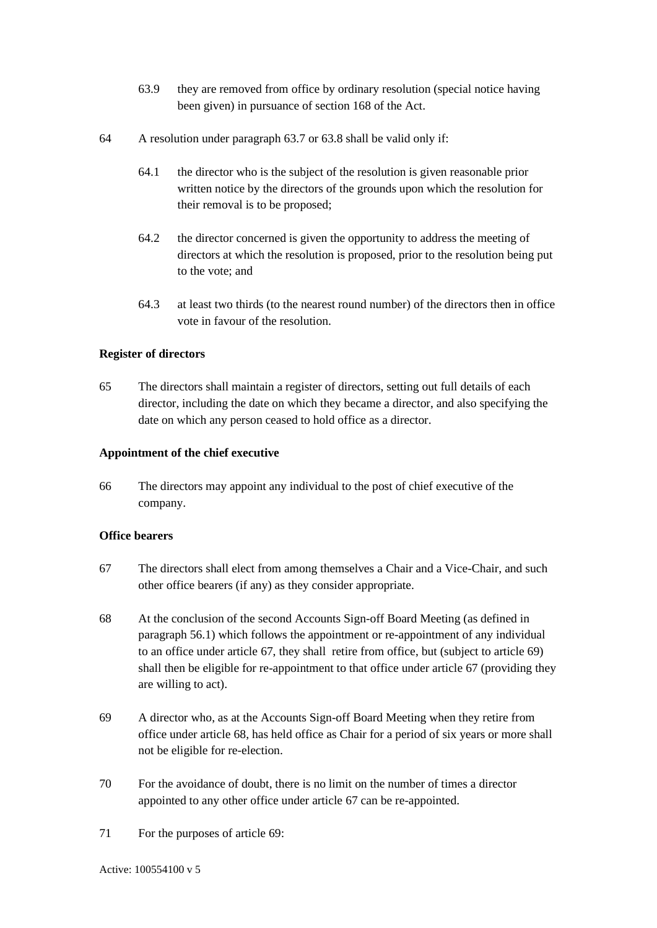- 63.9 they are removed from office by ordinary resolution (special notice having been given) in pursuance of section 168 of the Act.
- 64 A resolution under paragraph [63.7](#page-17-4) or [63.8](#page-17-5) shall be valid only if:
	- 64.1 the director who is the subject of the resolution is given reasonable prior written notice by the directors of the grounds upon which the resolution for their removal is to be proposed;
	- 64.2 the director concerned is given the opportunity to address the meeting of directors at which the resolution is proposed, prior to the resolution being put to the vote; and
	- 64.3 at least two thirds (to the nearest round number) of the directors then in office vote in favour of the resolution.

#### **Register of directors**

65 The directors shall maintain a register of directors, setting out full details of each director, including the date on which they became a director, and also specifying the date on which any person ceased to hold office as a director.

#### **Appointment of the chief executive**

66 The directors may appoint any individual to the post of chief executive of the company.

#### **Office bearers**

- <span id="page-18-0"></span>67 The directors shall elect from among themselves a Chair and a Vice-Chair, and such other office bearers (if any) as they consider appropriate.
- <span id="page-18-2"></span>68 At the conclusion of the second Accounts Sign-off Board Meeting (as defined in paragraph 56.1) which follows the appointment or re-appointment of any individual to an office under article [67,](#page-18-0) they shall retire from office, but (subject to article [69\)](#page-18-1) shall then be eligible for re-appointment to that office under article [67](#page-18-0) (providing they are willing to act).
- <span id="page-18-1"></span>69 A director who, as at the Accounts Sign-off Board Meeting when they retire from office under article [68,](#page-18-2) has held office as Chair for a period of six years or more shall not be eligible for re-election.
- 70 For the avoidance of doubt, there is no limit on the number of times a director appointed to any other office under article [67](#page-18-0) can be re-appointed.
- 71 For the purposes of article [69:](#page-18-1)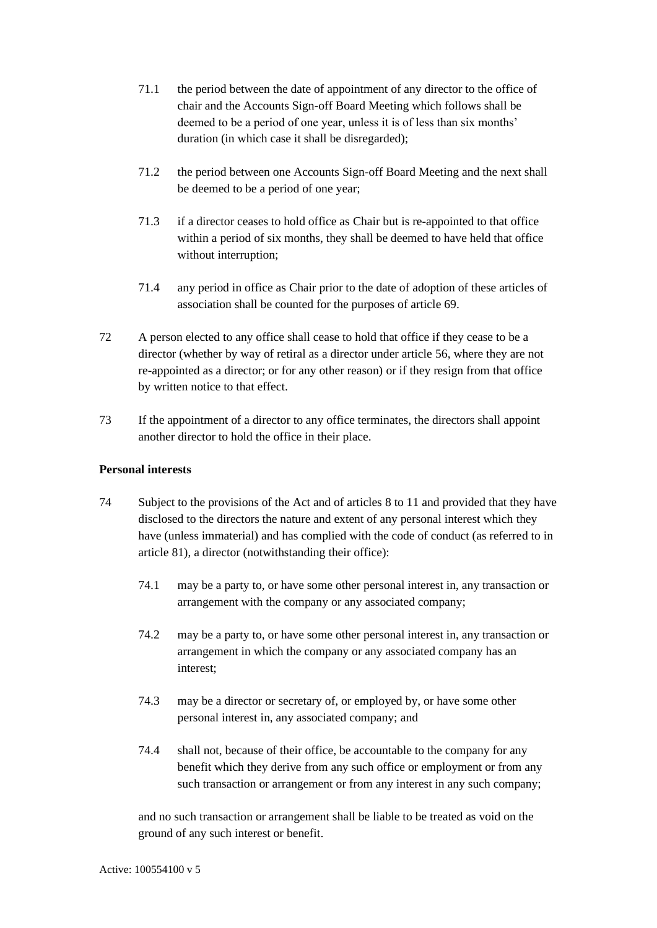- 71.1 the period between the date of appointment of any director to the office of chair and the Accounts Sign-off Board Meeting which follows shall be deemed to be a period of one year, unless it is of less than six months' duration (in which case it shall be disregarded);
- 71.2 the period between one Accounts Sign-off Board Meeting and the next shall be deemed to be a period of one year;
- 71.3 if a director ceases to hold office as Chair but is re-appointed to that office within a period of six months, they shall be deemed to have held that office without interruption;
- 71.4 any period in office as Chair prior to the date of adoption of these articles of association shall be counted for the purposes of article [69.](#page-18-1)
- 72 A person elected to any office shall cease to hold that office if they cease to be a director (whether by way of retiral as a director under article [56,](#page-16-2) where they are not re-appointed as a director; or for any other reason) or if they resign from that office by written notice to that effect.
- 73 If the appointment of a director to any office terminates, the directors shall appoint another director to hold the office in their place.

#### **Personal interests**

- <span id="page-19-0"></span>74 Subject to the provisions of the Act and of articles [8](#page-9-0) to [11](#page-9-1) and provided that they have disclosed to the directors the nature and extent of any personal interest which they have (unless immaterial) and has complied with the code of conduct (as referred to in article [81\)](#page-21-2), a director (notwithstanding their office):
	- 74.1 may be a party to, or have some other personal interest in, any transaction or arrangement with the company or any associated company;
	- 74.2 may be a party to, or have some other personal interest in, any transaction or arrangement in which the company or any associated company has an interest;
	- 74.3 may be a director or secretary of, or employed by, or have some other personal interest in, any associated company; and
	- 74.4 shall not, because of their office, be accountable to the company for any benefit which they derive from any such office or employment or from any such transaction or arrangement or from any interest in any such company;

and no such transaction or arrangement shall be liable to be treated as void on the ground of any such interest or benefit.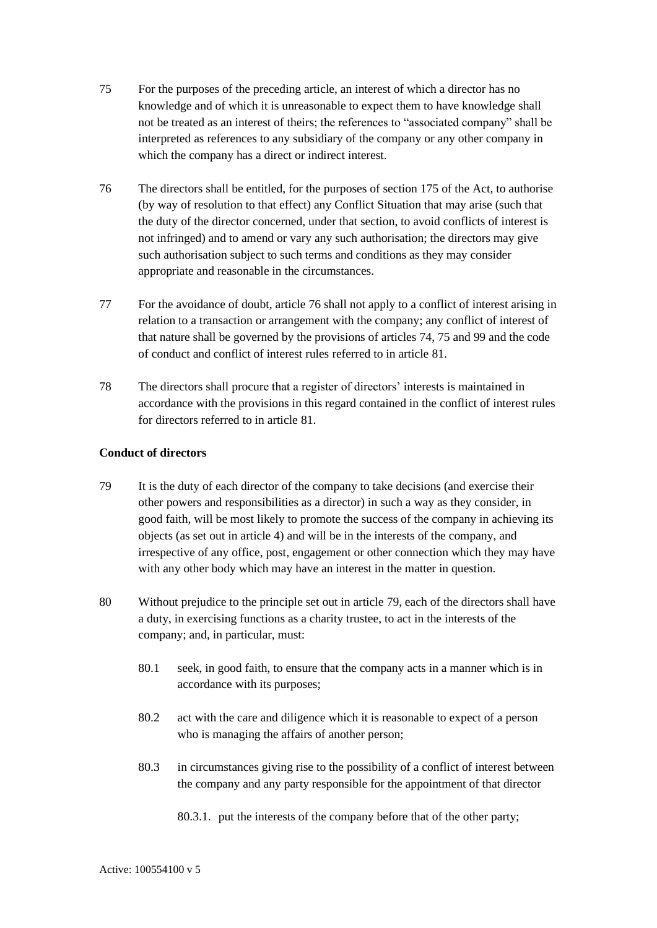- <span id="page-20-1"></span>75 For the purposes of the preceding article, an interest of which a director has no knowledge and of which it is unreasonable to expect them to have knowledge shall not be treated as an interest of theirs; the references to "associated company" shall be interpreted as references to any subsidiary of the company or any other company in which the company has a direct or indirect interest.
- <span id="page-20-0"></span>76 The directors shall be entitled, for the purposes of section 175 of the Act, to authorise (by way of resolution to that effect) any Conflict Situation that may arise (such that the duty of the director concerned, under that section, to avoid conflicts of interest is not infringed) and to amend or vary any such authorisation; the directors may give such authorisation subject to such terms and conditions as they may consider appropriate and reasonable in the circumstances.
- 77 For the avoidance of doubt, articl[e 76](#page-20-0) shall not apply to a conflict of interest arising in relation to a transaction or arrangement with the company; any conflict of interest of that nature shall be governed by the provisions of articles [74,](#page-19-0) [75](#page-20-1) and [99](#page-23-2) and the code of conduct and conflict of interest rules referred to in article [81.](#page-21-2)
- 78 The directors shall procure that a register of directors' interests is maintained in accordance with the provisions in this regard contained in the conflict of interest rules for directors referred to in article [81.](#page-21-2)

#### **Conduct of directors**

- <span id="page-20-2"></span>79 It is the duty of each director of the company to take decisions (and exercise their other powers and responsibilities as a director) in such a way as they consider, in good faith, will be most likely to promote the success of the company in achieving its objects (as set out in article [4\)](#page-7-0) and will be in the interests of the company, and irrespective of any office, post, engagement or other connection which they may have with any other body which may have an interest in the matter in question.
- 80 Without prejudice to the principle set out in article [79,](#page-20-2) each of the directors shall have a duty, in exercising functions as a charity trustee, to act in the interests of the company; and, in particular, must:
	- 80.1 seek, in good faith, to ensure that the company acts in a manner which is in accordance with its purposes;
	- 80.2 act with the care and diligence which it is reasonable to expect of a person who is managing the affairs of another person;
	- 80.3 in circumstances giving rise to the possibility of a conflict of interest between the company and any party responsible for the appointment of that director
		- 80.3.1. put the interests of the company before that of the other party;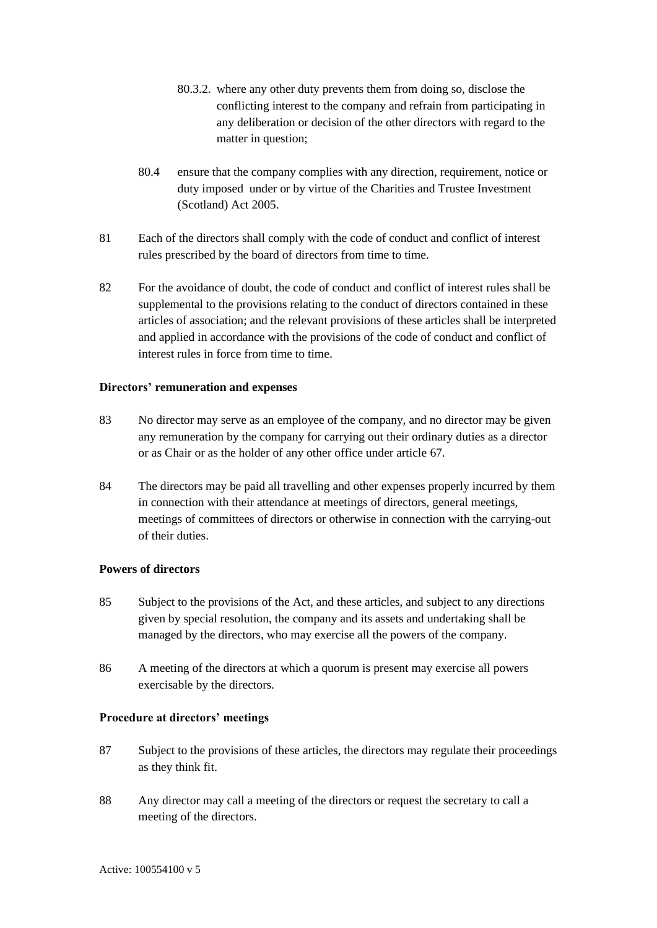- 80.3.2. where any other duty prevents them from doing so, disclose the conflicting interest to the company and refrain from participating in any deliberation or decision of the other directors with regard to the matter in question;
- 80.4 ensure that the company complies with any direction, requirement, notice or duty imposed under or by virtue of the Charities and Trustee Investment (Scotland) Act 2005.
- <span id="page-21-2"></span>81 Each of the directors shall comply with the code of conduct and conflict of interest rules prescribed by the board of directors from time to time.
- 82 For the avoidance of doubt, the code of conduct and conflict of interest rules shall be supplemental to the provisions relating to the conduct of directors contained in these articles of association; and the relevant provisions of these articles shall be interpreted and applied in accordance with the provisions of the code of conduct and conflict of interest rules in force from time to time.

#### **Directors' remuneration and expenses**

- 83 No director may serve as an employee of the company, and no director may be given any remuneration by the company for carrying out their ordinary duties as a director or as Chair or as the holder of any other office under article [67.](#page-18-0)
- <span id="page-21-0"></span>84 The directors may be paid all travelling and other expenses properly incurred by them in connection with their attendance at meetings of directors, general meetings, meetings of committees of directors or otherwise in connection with the carrying-out of their duties.

#### **Powers of directors**

- <span id="page-21-1"></span>85 Subject to the provisions of the Act, and these articles, and subject to any directions given by special resolution, the company and its assets and undertaking shall be managed by the directors, who may exercise all the powers of the company.
- 86 A meeting of the directors at which a quorum is present may exercise all powers exercisable by the directors.

#### **Procedure at directors' meetings**

- 87 Subject to the provisions of these articles, the directors may regulate their proceedings as they think fit.
- 88 Any director may call a meeting of the directors or request the secretary to call a meeting of the directors.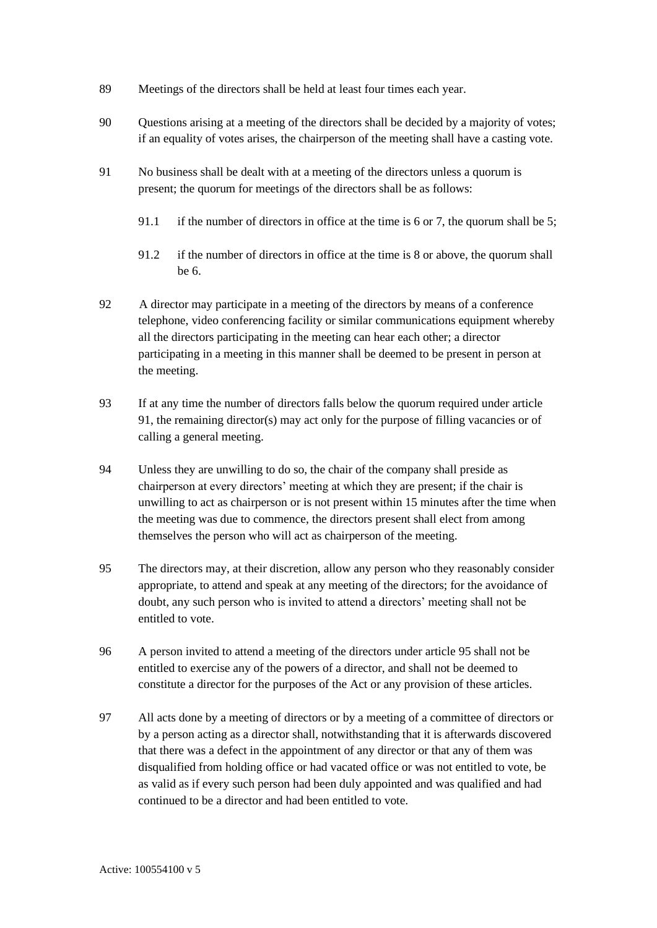- 89 Meetings of the directors shall be held at least four times each year.
- 90 Questions arising at a meeting of the directors shall be decided by a majority of votes; if an equality of votes arises, the chairperson of the meeting shall have a casting vote.
- <span id="page-22-0"></span>91 No business shall be dealt with at a meeting of the directors unless a quorum is present; the quorum for meetings of the directors shall be as follows:
	- 91.1 if the number of directors in office at the time is 6 or 7, the quorum shall be 5;
	- 91.2 if the number of directors in office at the time is 8 or above, the quorum shall be 6.
- 92 A director may participate in a meeting of the directors by means of a conference telephone, video conferencing facility or similar communications equipment whereby all the directors participating in the meeting can hear each other; a director participating in a meeting in this manner shall be deemed to be present in person at the meeting.
- 93 If at any time the number of directors falls below the quorum required under article [91,](#page-22-0) the remaining director(s) may act only for the purpose of filling vacancies or of calling a general meeting.
- 94 Unless they are unwilling to do so, the chair of the company shall preside as chairperson at every directors' meeting at which they are present; if the chair is unwilling to act as chairperson or is not present within 15 minutes after the time when the meeting was due to commence, the directors present shall elect from among themselves the person who will act as chairperson of the meeting.
- <span id="page-22-1"></span>95 The directors may, at their discretion, allow any person who they reasonably consider appropriate, to attend and speak at any meeting of the directors; for the avoidance of doubt, any such person who is invited to attend a directors' meeting shall not be entitled to vote.
- 96 A person invited to attend a meeting of the directors under article [95](#page-22-1) shall not be entitled to exercise any of the powers of a director, and shall not be deemed to constitute a director for the purposes of the Act or any provision of these articles.
- 97 All acts done by a meeting of directors or by a meeting of a committee of directors or by a person acting as a director shall, notwithstanding that it is afterwards discovered that there was a defect in the appointment of any director or that any of them was disqualified from holding office or had vacated office or was not entitled to vote, be as valid as if every such person had been duly appointed and was qualified and had continued to be a director and had been entitled to vote.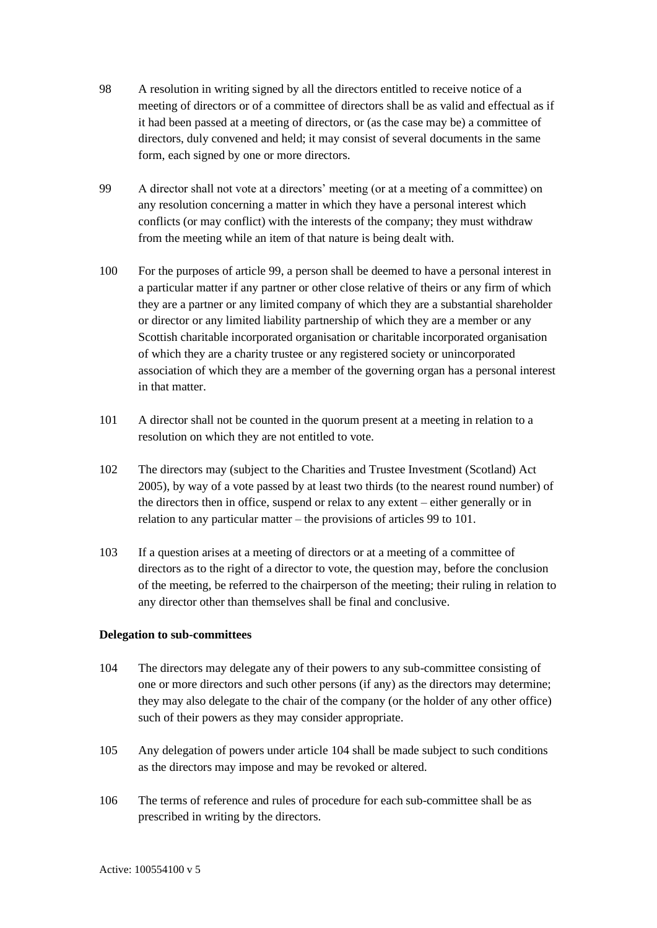- 98 A resolution in writing signed by all the directors entitled to receive notice of a meeting of directors or of a committee of directors shall be as valid and effectual as if it had been passed at a meeting of directors, or (as the case may be) a committee of directors, duly convened and held; it may consist of several documents in the same form, each signed by one or more directors.
- <span id="page-23-2"></span>99 A director shall not vote at a directors' meeting (or at a meeting of a committee) on any resolution concerning a matter in which they have a personal interest which conflicts (or may conflict) with the interests of the company; they must withdraw from the meeting while an item of that nature is being dealt with.
- 100 For the purposes of article [99,](#page-23-2) a person shall be deemed to have a personal interest in a particular matter if any partner or other close relative of theirs or any firm of which they are a partner or any limited company of which they are a substantial shareholder or director or any limited liability partnership of which they are a member or any Scottish charitable incorporated organisation or charitable incorporated organisation of which they are a charity trustee or any registered society or unincorporated association of which they are a member of the governing organ has a personal interest in that matter.
- <span id="page-23-3"></span>101 A director shall not be counted in the quorum present at a meeting in relation to a resolution on which they are not entitled to vote.
- 102 The directors may (subject to the Charities and Trustee Investment (Scotland) Act 2005), by way of a vote passed by at least two thirds (to the nearest round number) of the directors then in office, suspend or relax to any extent – either generally or in relation to any particular matter – the provisions of articles [99](#page-23-2) to [101.](#page-23-3)
- <span id="page-23-0"></span>103 If a question arises at a meeting of directors or at a meeting of a committee of directors as to the right of a director to vote, the question may, before the conclusion of the meeting, be referred to the chairperson of the meeting; their ruling in relation to any director other than themselves shall be final and conclusive.

#### **Delegation to sub-committees**

- <span id="page-23-1"></span>104 The directors may delegate any of their powers to any sub-committee consisting of one or more directors and such other persons (if any) as the directors may determine; they may also delegate to the chair of the company (or the holder of any other office) such of their powers as they may consider appropriate.
- 105 Any delegation of powers under article [104](#page-23-1) shall be made subject to such conditions as the directors may impose and may be revoked or altered.
- 106 The terms of reference and rules of procedure for each sub-committee shall be as prescribed in writing by the directors.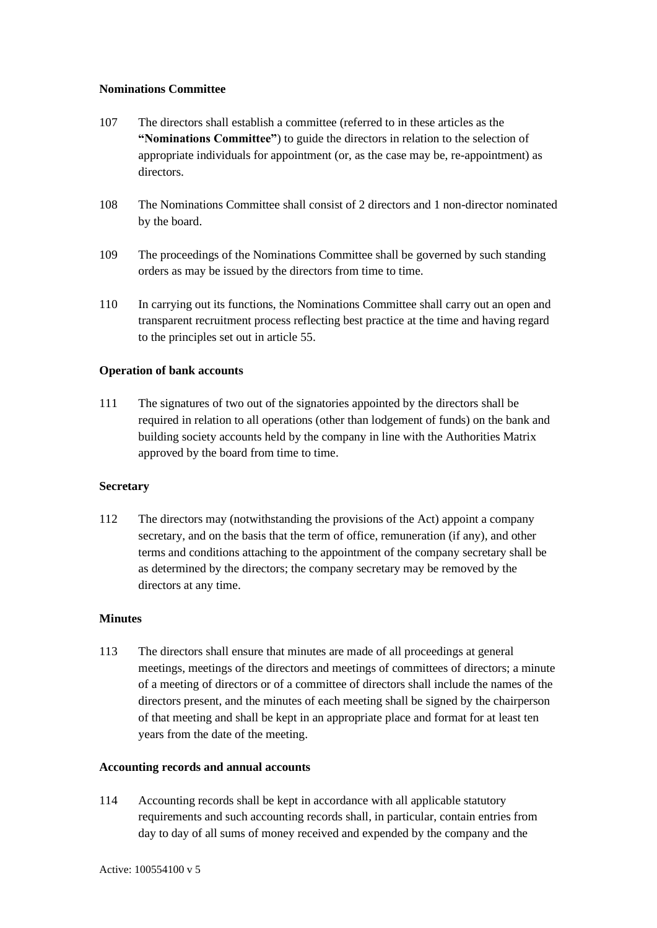#### **Nominations Committee**

- <span id="page-24-0"></span>107 The directors shall establish a committee (referred to in these articles as the **"Nominations Committee"**) to guide the directors in relation to the selection of appropriate individuals for appointment (or, as the case may be, re-appointment) as directors.
- 108 The Nominations Committee shall consist of 2 directors and 1 non-director nominated by the board.
- 109 The proceedings of the Nominations Committee shall be governed by such standing orders as may be issued by the directors from time to time.
- 110 In carrying out its functions, the Nominations Committee shall carry out an open and transparent recruitment process reflecting best practice at the time and having regard to the principles set out in article [55.](#page-15-3)

#### **Operation of bank accounts**

111 The signatures of two out of the signatories appointed by the directors shall be required in relation to all operations (other than lodgement of funds) on the bank and building society accounts held by the company in line with the Authorities Matrix approved by the board from time to time.

#### **Secretary**

112 The directors may (notwithstanding the provisions of the Act) appoint a company secretary, and on the basis that the term of office, remuneration (if any), and other terms and conditions attaching to the appointment of the company secretary shall be as determined by the directors; the company secretary may be removed by the directors at any time.

#### **Minutes**

113 The directors shall ensure that minutes are made of all proceedings at general meetings, meetings of the directors and meetings of committees of directors; a minute of a meeting of directors or of a committee of directors shall include the names of the directors present, and the minutes of each meeting shall be signed by the chairperson of that meeting and shall be kept in an appropriate place and format for at least ten years from the date of the meeting.

#### **Accounting records and annual accounts**

114 Accounting records shall be kept in accordance with all applicable statutory requirements and such accounting records shall, in particular, contain entries from day to day of all sums of money received and expended by the company and the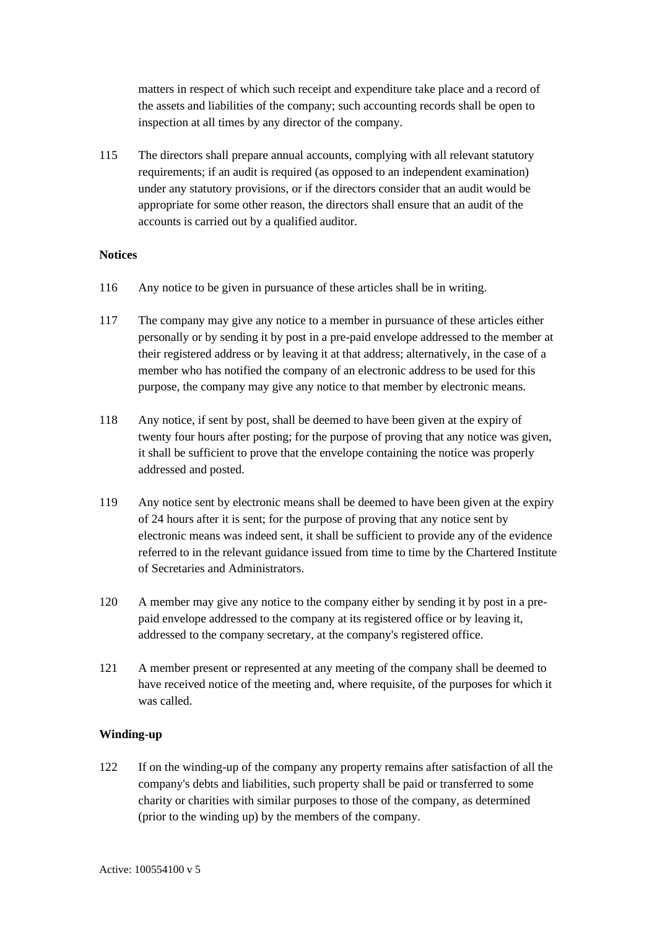matters in respect of which such receipt and expenditure take place and a record of the assets and liabilities of the company; such accounting records shall be open to inspection at all times by any director of the company.

115 The directors shall prepare annual accounts, complying with all relevant statutory requirements; if an audit is required (as opposed to an independent examination) under any statutory provisions, or if the directors consider that an audit would be appropriate for some other reason, the directors shall ensure that an audit of the accounts is carried out by a qualified auditor.

#### **Notices**

- 116 Any notice to be given in pursuance of these articles shall be in writing.
- 117 The company may give any notice to a member in pursuance of these articles either personally or by sending it by post in a pre-paid envelope addressed to the member at their registered address or by leaving it at that address; alternatively, in the case of a member who has notified the company of an electronic address to be used for this purpose, the company may give any notice to that member by electronic means.
- 118 Any notice, if sent by post, shall be deemed to have been given at the expiry of twenty four hours after posting; for the purpose of proving that any notice was given, it shall be sufficient to prove that the envelope containing the notice was properly addressed and posted.
- 119 Any notice sent by electronic means shall be deemed to have been given at the expiry of 24 hours after it is sent; for the purpose of proving that any notice sent by electronic means was indeed sent, it shall be sufficient to provide any of the evidence referred to in the relevant guidance issued from time to time by the Chartered Institute of Secretaries and Administrators.
- 120 A member may give any notice to the company either by sending it by post in a prepaid envelope addressed to the company at its registered office or by leaving it, addressed to the company secretary, at the company's registered office.
- <span id="page-25-0"></span>121 A member present or represented at any meeting of the company shall be deemed to have received notice of the meeting and, where requisite, of the purposes for which it was called.

#### **Winding-up**

<span id="page-25-1"></span>122 If on the winding-up of the company any property remains after satisfaction of all the company's debts and liabilities, such property shall be paid or transferred to some charity or charities with similar purposes to those of the company, as determined (prior to the winding up) by the members of the company.